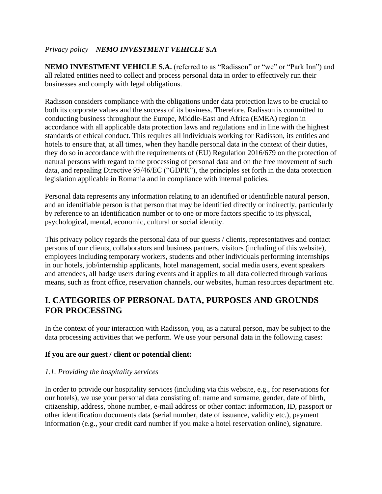### *Privacy policy – NEMO INVESTMENT VEHICLE S.A*

**NEMO INVESTMENT VEHICLE S.A.** (referred to as "Radisson" or "we" or "Park Inn") and all related entities need to collect and process personal data in order to effectively run their businesses and comply with legal obligations.

Radisson considers compliance with the obligations under data protection laws to be crucial to both its corporate values and the success of its business. Therefore, Radisson is committed to conducting business throughout the Europe, Middle-East and Africa (EMEA) region in accordance with all applicable data protection laws and regulations and in line with the highest standards of ethical conduct. This requires all individuals working for Radisson, its entities and hotels to ensure that, at all times, when they handle personal data in the context of their duties, they do so in accordance with the requirements of (EU) Regulation 2016/679 on the protection of natural persons with regard to the processing of personal data and on the free movement of such data, and repealing Directive 95/46/EC ("GDPR"), the principles set forth in the data protection legislation applicable in Romania and in compliance with internal policies.

Personal data represents any information relating to an identified or identifiable natural person, and an identifiable person is that person that may be identified directly or indirectly, particularly by reference to an identification number or to one or more factors specific to its physical, psychological, mental, economic, cultural or social identity.

This privacy policy regards the personal data of our guests / clients, representatives and contact persons of our clients, collaborators and business partners, visitors (including of this website), employees including temporary workers, students and other individuals performing internships in our hotels, job/internship applicants, hotel management, social media users, event speakers and attendees, all badge users during events and it applies to all data collected through various means, such as front office, reservation channels, our websites, human resources department etc.

## **I. CATEGORIES OF PERSONAL DATA, PURPOSES AND GROUNDS FOR PROCESSING**

In the context of your interaction with Radisson, you, as a natural person, may be subject to the data processing activities that we perform. We use your personal data in the following cases:

#### **If you are our guest / client or potential client:**

#### *1.1. Providing the hospitality services*

In order to provide our hospitality services (including via this website, e.g., for reservations for our hotels), we use your personal data consisting of: name and surname, gender, date of birth, citizenship, address, phone number, e-mail address or other contact information, ID, passport or other identification documents data (serial number, date of issuance, validity etc.), payment information (e.g., your credit card number if you make a hotel reservation online), signature.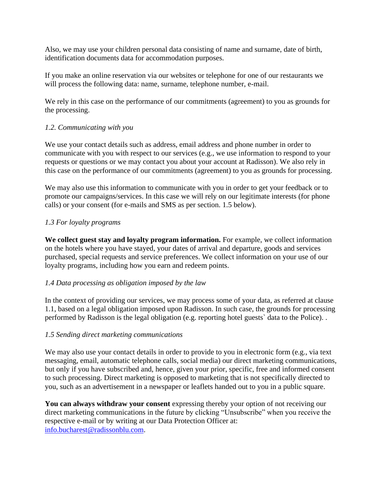Also, we may use your children personal data consisting of name and surname, date of birth, identification documents data for accommodation purposes.

If you make an online reservation via our websites or telephone for one of our restaurants we will process the following data: name, surname, telephone number, e-mail.

We rely in this case on the performance of our commitments (agreement) to you as grounds for the processing.

#### *1.2. Communicating with you*

We use your contact details such as address, email address and phone number in order to communicate with you with respect to our services (e.g., we use information to respond to your requests or questions or we may contact you about your account at Radisson). We also rely in this case on the performance of our commitments (agreement) to you as grounds for processing.

We may also use this information to communicate with you in order to get your feedback or to promote our campaigns/services. In this case we will rely on our legitimate interests (for phone calls) or your consent (for e-mails and SMS as per section. 1.5 below).

#### *1.3 For loyalty programs*

**We collect guest stay and loyalty program information.** For example, we collect information on the hotels where you have stayed, your dates of arrival and departure, goods and services purchased, special requests and service preferences. We collect information on your use of our loyalty programs, including how you earn and redeem points.

#### *1.4 Data processing as obligation imposed by the law*

In the context of providing our services, we may process some of your data, as referred at clause 1.1, based on a legal obligation imposed upon Radisson. In such case, the grounds for processing performed by Radisson is the legal obligation (e.g. reporting hotel guests` data to the Police). .

#### *1.5 Sending direct marketing communications*

We may also use your contact details in order to provide to you in electronic form (e.g., via text messaging, email, automatic telephone calls, social media) our direct marketing communications, but only if you have subscribed and, hence, given your prior, specific, free and informed consent to such processing. Direct marketing is opposed to marketing that is not specifically directed to you, such as an advertisement in a newspaper or leaflets handed out to you in a public square.

**You can always withdraw your consent** expressing thereby your option of not receiving our direct marketing communications in the future by clicking "Unsubscribe" when you receive the respective e-mail or by writing at our Data Protection Officer at: [info.bucharest@radissonblu.com.](mailto:info.bucharest@radissonblu.com)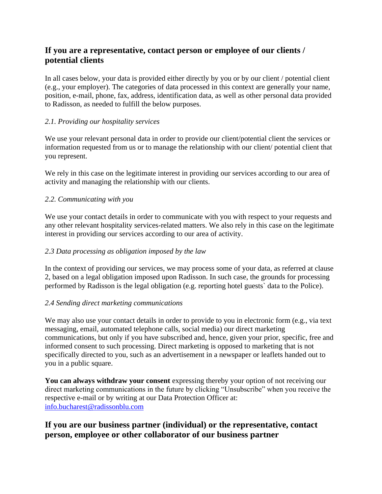## **If you are a representative, contact person or employee of our clients / potential clients**

In all cases below, your data is provided either directly by you or by our client / potential client (e.g., your employer). The categories of data processed in this context are generally your name, position, e-mail, phone, fax, address, identification data, as well as other personal data provided to Radisson, as needed to fulfill the below purposes.

### *2.1. Providing our hospitality services*

We use your relevant personal data in order to provide our client/potential client the services or information requested from us or to manage the relationship with our client/ potential client that you represent.

We rely in this case on the legitimate interest in providing our services according to our area of activity and managing the relationship with our clients.

#### *2.2. Communicating with you*

We use your contact details in order to communicate with you with respect to your requests and any other relevant hospitality services-related matters. We also rely in this case on the legitimate interest in providing our services according to our area of activity.

#### *2.3 Data processing as obligation imposed by the law*

In the context of providing our services, we may process some of your data, as referred at clause 2, based on a legal obligation imposed upon Radisson. In such case, the grounds for processing performed by Radisson is the legal obligation (e.g. reporting hotel guests` data to the Police).

#### *2.4 Sending direct marketing communications*

We may also use your contact details in order to provide to you in electronic form (e.g., via text messaging, email, automated telephone calls, social media) our direct marketing communications, but only if you have subscribed and, hence, given your prior, specific, free and informed consent to such processing. Direct marketing is opposed to marketing that is not specifically directed to you, such as an advertisement in a newspaper or leaflets handed out to you in a public square.

**You can always withdraw your consent** expressing thereby your option of not receiving our direct marketing communications in the future by clicking "Unsubscribe" when you receive the respective e-mail or by writing at our Data Protection Officer at: [info.bucharest@radissonblu.com](mailto:info.bucharest@radissonblu.com)

## **If you are our business partner (individual) or the representative, contact person, employee or other collaborator of our business partner**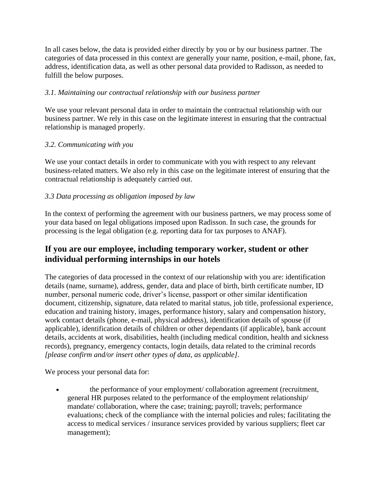In all cases below, the data is provided either directly by you or by our business partner. The categories of data processed in this context are generally your name, position, e-mail, phone, fax, address, identification data, as well as other personal data provided to Radisson, as needed to fulfill the below purposes.

#### *3.1. Maintaining our contractual relationship with our business partner*

We use your relevant personal data in order to maintain the contractual relationship with our business partner. We rely in this case on the legitimate interest in ensuring that the contractual relationship is managed properly.

#### *3.2. Communicating with you*

We use your contact details in order to communicate with you with respect to any relevant business-related matters. We also rely in this case on the legitimate interest of ensuring that the contractual relationship is adequately carried out.

### *3.3 Data processing as obligation imposed by law*

In the context of performing the agreement with our business partners, we may process some of your data based on legal obligations imposed upon Radisson. In such case, the grounds for processing is the legal obligation (e.g. reporting data for tax purposes to ANAF).

### **If you are our employee, including temporary worker, student or other individual performing internships in our hotels**

The categories of data processed in the context of our relationship with you are: identification details (name, surname), address, gender, data and place of birth, birth certificate number, ID number, personal numeric code, driver's license, passport or other similar identification document, citizenship, signature, data related to marital status, job title, professional experience, education and training history, images, performance history, salary and compensation history, work contact details (phone, e-mail, physical address), identification details of spouse (if applicable), identification details of children or other dependants (if applicable), bank account details, accidents at work, disabilities, health (including medical condition, health and sickness records), pregnancy, emergency contacts, login details, data related to the criminal records *[please confirm and/or insert other types of data, as applicable]*.

We process your personal data for:

• the performance of your employment/ collaboration agreement (recruitment, general HR purposes related to the performance of the employment relationship/ mandate/ collaboration, where the case; training; payroll; travels; performance evaluations; check of the compliance with the internal policies and rules; facilitating the access to medical services / insurance services provided by various suppliers; fleet car management);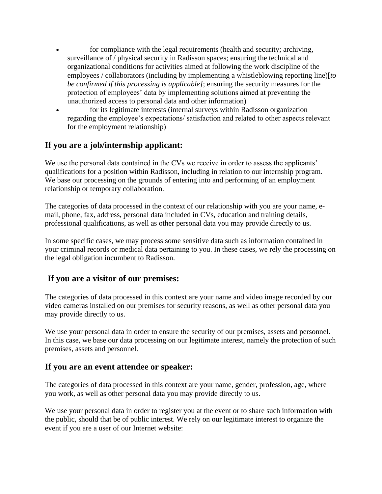- for compliance with the legal requirements (health and security; archiving, surveillance of / physical security in Radisson spaces; ensuring the technical and organizational conditions for activities aimed at following the work discipline of the employees / collaborators (including by implementing a whistleblowing reporting line)[*to be confirmed if this processing is applicable]*; ensuring the security measures for the protection of employees' data by implementing solutions aimed at preventing the unauthorized access to personal data and other information)
- for its legitimate interests (internal surveys within Radisson organization regarding the employee's expectations/ satisfaction and related to other aspects relevant for the employment relationship)

## **If you are a job/internship applicant:**

We use the personal data contained in the CVs we receive in order to assess the applicants' qualifications for a position within Radisson, including in relation to our internship program. We base our processing on the grounds of entering into and performing of an employment relationship or temporary collaboration.

The categories of data processed in the context of our relationship with you are your name, email, phone, fax, address, personal data included in CVs, education and training details, professional qualifications, as well as other personal data you may provide directly to us.

In some specific cases, we may process some sensitive data such as information contained in your criminal records or medical data pertaining to you. In these cases, we rely the processing on the legal obligation incumbent to Radisson.

### **If you are a visitor of our premises:**

The categories of data processed in this context are your name and video image recorded by our video cameras installed on our premises for security reasons, as well as other personal data you may provide directly to us.

We use your personal data in order to ensure the security of our premises, assets and personnel. In this case, we base our data processing on our legitimate interest, namely the protection of such premises, assets and personnel.

### **If you are an event attendee or speaker:**

The categories of data processed in this context are your name, gender, profession, age, where you work, as well as other personal data you may provide directly to us.

We use your personal data in order to register you at the event or to share such information with the public, should that be of public interest. We rely on our legitimate interest to organize the event if you are a user of our Internet website: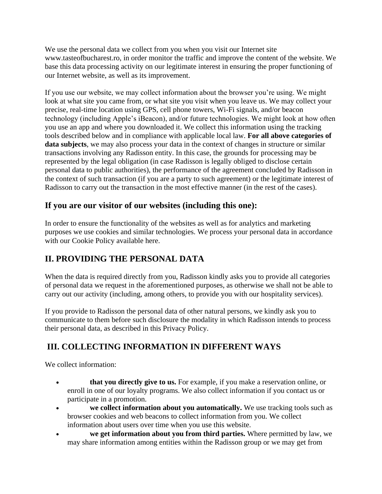We use the personal data we collect from you when you visit our Internet site www.tasteofbucharest.ro, in order monitor the traffic and improve the content of the website. We base this data processing activity on our legitimate interest in ensuring the proper functioning of our Internet website, as well as its improvement.

If you use our website, we may collect information about the browser you're using. We might look at what site you came from, or what site you visit when you leave us. We may collect your precise, real-time location using GPS, cell phone towers, Wi-Fi signals, and/or beacon technology (including Apple's iBeacon), and/or future technologies. We might look at how often you use an app and where you downloaded it. We collect this information using the tracking tools described below and in compliance with applicable local law. **For all above categories of data subjects**, we may also process your data in the context of changes in structure or similar transactions involving any Radisson entity. In this case, the grounds for processing may be represented by the legal obligation (in case Radisson is legally obliged to disclose certain personal data to public authorities), the performance of the agreement concluded by Radisson in the context of such transaction (if you are a party to such agreement) or the legitimate interest of Radisson to carry out the transaction in the most effective manner (in the rest of the cases).

## **If you are our visitor of our websites (including this one):**

In order to ensure the functionality of the websites as well as for analytics and marketing purposes we use cookies and similar technologies. We process your personal data in accordance with our Cookie Policy available here.

# **II. PROVIDING THE PERSONAL DATA**

When the data is required directly from you, Radisson kindly asks you to provide all categories of personal data we request in the aforementioned purposes, as otherwise we shall not be able to carry out our activity (including, among others, to provide you with our hospitality services).

If you provide to Radisson the personal data of other natural persons, we kindly ask you to communicate to them before such disclosure the modality in which Radisson intends to process their personal data, as described in this Privacy Policy.

# **III. COLLECTING INFORMATION IN DIFFERENT WAYS**

We collect information:

- • **that you directly give to us.** For example, if you make a reservation online, or enroll in one of our loyalty programs. We also collect information if you contact us or participate in a promotion.
- **we collect information about you automatically.** We use tracking tools such as browser cookies and web beacons to collect information from you. We collect information about users over time when you use this website.
- **we get information about you from third parties.** Where permitted by law, we may share information among entities within the Radisson group or we may get from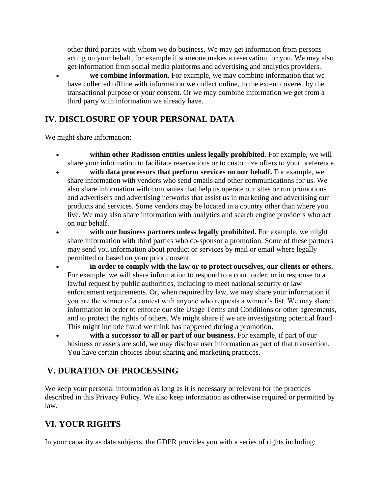other third parties with whom we do business. We may get information from persons acting on your behalf, for example if someone makes a reservation for you. We may also get information from social media platforms and advertising and analytics providers.

• **we combine information.** For example, we may combine information that we have collected offline with information we collect online, to the extent covered by the transactional purpose or your consent. Or we may combine information we get from a third party with information we already have.

## **IV. DISCLOSURE OF YOUR PERSONAL DATA**

We might share information:

- • **within other Radisson entities unless legally prohibited.** For example, we will share your information to facilitate reservations or to customize offers to your preference.
- • **with data processors that perform services on our behalf.** For example, we share information with vendors who send emails and other communications for us. We also share information with companies that help us operate our sites or run promotions and advertisers and advertising networks that assist us in marketing and advertising our products and services. Some vendors may be located in a country other than where you live. We may also share information with analytics and search engine providers who act on our behalf.
- with our business partners unless legally prohibited. For example, we might share information with third parties who co-sponsor a promotion. Some of these partners may send you information about product or services by mail or email where legally permitted or based on your prior consent.
- • **in order to comply with the law or to protect ourselves, our clients or others.**  For example, we will share information to respond to a court order, or in response to a lawful request by public authorities, including to meet national security or law enforcement requirements. Or, when required by law, we may share your information if you are the winner of a contest with anyone who requests a winner's list. We may share information in order to enforce our site Usage Terms and Conditions or other agreements, and to protect the rights of others. We might share if we are investigating potential fraud. This might include fraud we think has happened during a promotion.
- with a successor to all or part of our business. For example, if part of our business or assets are sold, we may disclose user information as part of that transaction. You have certain choices about sharing and marketing practices.

# **V. DURATION OF PROCESSING**

We keep your personal information as long as it is necessary or relevant for the practices described in this Privacy Policy. We also keep information as otherwise required or permitted by law.

## **VI. YOUR RIGHTS**

In your capacity as data subjects, the GDPR provides you with a series of rights including: